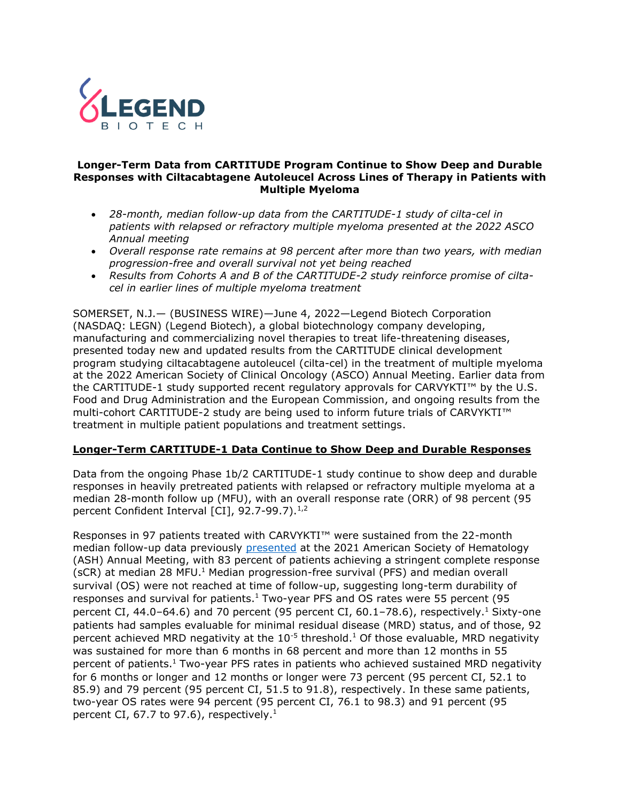

### **Longer-Term Data from CARTITUDE Program Continue to Show Deep and Durable Responses with Ciltacabtagene Autoleucel Across Lines of Therapy in Patients with Multiple Myeloma**

- *28-month, median follow-up data from the CARTITUDE-1 study of cilta-cel in patients with relapsed or refractory multiple myeloma presented at the 2022 ASCO Annual meeting*
- *Overall response rate remains at 98 percent after more than two years, with median progression-free and overall survival not yet being reached*
- *Results from Cohorts A and B of the CARTITUDE-2 study reinforce promise of ciltacel in earlier lines of multiple myeloma treatment*

SOMERSET, N.J.— (BUSINESS WIRE)—June 4, 2022—Legend Biotech Corporation (NASDAQ: LEGN) (Legend Biotech), a global biotechnology company developing, manufacturing and commercializing novel therapies to treat life-threatening diseases, presented today new and updated results from the CARTITUDE clinical development program studying ciltacabtagene autoleucel (cilta-cel) in the treatment of multiple myeloma at the 2022 American Society of Clinical Oncology (ASCO) Annual Meeting. Earlier data from the CARTITUDE-1 study supported recent regulatory approvals for CARVYKTI™ by the U.S. Food and Drug Administration and the European Commission, and ongoing results from the multi-cohort CARTITUDE-2 study are being used to inform future trials of CARVYKTI™ treatment in multiple patient populations and treatment settings.

## **Longer-Term CARTITUDE-1 Data Continue to Show Deep and Durable Responses**

Data from the ongoing Phase 1b/2 CARTITUDE-1 study continue to show deep and durable responses in heavily pretreated patients with relapsed or refractory multiple myeloma at a median 28-month follow up (MFU), with an overall response rate (ORR) of 98 percent (95 percent Confident Interval  $\lceil$ CI $\rceil$ , 92.7-99.7).<sup>1,2</sup>

<span id="page-0-0"></span>Responses in 97 patients treated with CARVYKTI™ were sustained from the 22-month median follow-up data previously [presented](https://legendbiotech.com/wp-content/uploads/2021/12/Two-Year-Analysis-of-CARTITUDE-1-Shows-Early-Durable-and-Deepening-Responses-of-Ciltacabtagene-Autoleucel-cilta-cel.pdf) at the 2021 American Society of Hematology (ASH) Annual Meeting, with 83 percent of patients achieving a stringent complete response (sCR) at median 28 MFU.<sup>[1](#page-0-0)</sup> Median progression-free survival (PFS) and median overall survival (OS) were not reached at time of follow-up, suggesting long-term durability of responses and survival for patients.<sup>[1](#page-0-0)</sup> Two-year PFS and OS rates were 55 percent (95 percent CI, 44.0–64.6) and 70 percent (95 percent CI, 60.[1](#page-0-0)–78.6), respectively.<sup>1</sup> Sixty-one patients had samples evaluable for minimal residual disease (MRD) status, and of those, 92 percent achieved MRD negativity at the  $10^{-5}$  $10^{-5}$  threshold.<sup>1</sup> Of those evaluable, MRD negativity was sustained for more than 6 months in 68 percent and more than 12 months in 55 percent of patients.[1](#page-0-0) Two-year PFS rates in patients who achieved sustained MRD negativity for 6 months or longer and 12 months or longer were 73 percent (95 percent CI, 52.1 to 85.9) and 79 percent (95 percent CI, 51.5 to 91.8), respectively. In these same patients, two-year OS rates were 94 percent (95 percent CI, 76.1 to 98.3) and 91 percent (95 percent CI, 67[.](#page-0-0)7 to 97.6), respectively.<sup>1</sup>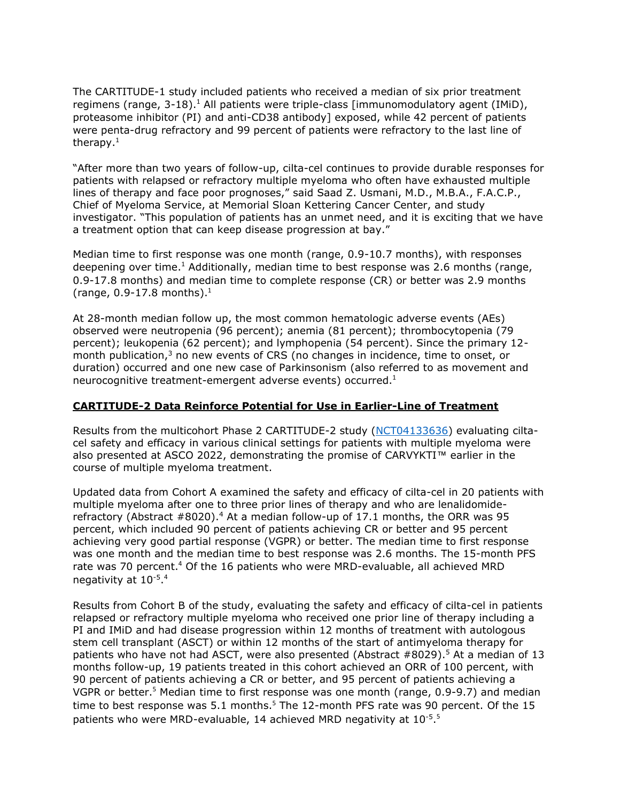The CARTITUDE-1 study included patients who received a median of six prior treatment regimens (range,  $3-18$  $3-18$  $3-18$ ).<sup>1</sup> All patients were triple-class [immunomodulatory agent (IMiD), proteasome inhibitor (PI) and anti-CD38 antibody] exposed, while 42 percent of patients were penta-drug refractory and 99 percent of patients were refractory to the last line of therapy.[1](#page-0-0)

"After more than two years of follow-up, cilta-cel continues to provide durable responses for patients with relapsed or refractory multiple myeloma who often have exhausted multiple lines of therapy and face poor prognoses," said Saad Z. Usmani, M.D., M.B.A., F.A.C.P., Chief of Myeloma Service, at Memorial Sloan Kettering Cancer Center, and study investigator. "This population of patients has an unmet need, and it is exciting that we have a treatment option that can keep disease progression at bay."

Median time to first response was one month (range, 0.9-10.7 months), with responses deepening over time.<sup>[1](#page-0-0)</sup> Additionally, median time to best response was 2.6 months (range, 0.9-17.8 months) and median time to complete response (CR) or better was 2.9 months (range,  $0.9 - 17.8$  $0.9 - 17.8$  $0.9 - 17.8$  months).<sup>1</sup>

At 28-month median follow up, the most common hematologic adverse events (AEs) observed were neutropenia (96 percent); anemia (81 percent); thrombocytopenia (79 percent); leukopenia (62 percent); and lymphopenia (54 percent). Since the primary 12 month publication, $3$  no new events of CRS (no changes in incidence, time to onset, or duration) occurred and one new case of Parkinsonism (also referred to as movement and neurocognitive treatment-emergent adverse events) occurred[.](#page-0-0)<sup>1</sup>

## **CARTITUDE-2 Data Reinforce Potential for Use in Earlier-Line of Treatment**

Results from the multicohort Phase 2 CARTITUDE-2 study [\(NCT04133636\)](https://clinicaltrials.gov/ct2/show/NCT04133636) evaluating ciltacel safety and efficacy in various clinical settings for patients with multiple myeloma were also presented at ASCO 2022, demonstrating the promise of CARVYKTI™ earlier in the course of multiple myeloma treatment.

<span id="page-1-0"></span>Updated data from Cohort A examined the safety and efficacy of cilta-cel in 20 patients with multiple myeloma after one to three prior lines of therapy and who are lenalidomiderefractory (Abstract  $#8020$ ).<sup>4</sup> At a median follow-up of 17.1 months, the ORR was 95 percent, which included 90 percent of patients achieving CR or better and 95 percent achieving very good partial response (VGPR) or better. The median time to first response was one month and the median time to best response was 2.6 months. The 15-month PFS rate was 70 percent.<sup>[4](#page-1-0)</sup> Of the 16 patients who were MRD-evaluable, all achieved MRD negativity at 10<sup>-5</sup>.<sup>[4](#page-1-0)</sup>

<span id="page-1-1"></span>Results from Cohort B of the study, evaluating the safety and efficacy of cilta-cel in patients relapsed or refractory multiple myeloma who received one prior line of therapy including a PI and IMiD and had disease progression within 12 months of treatment with autologous stem cell transplant (ASCT) or within 12 months of the start of antimyeloma therapy for patients who have not had ASCT, were also presented (Abstract #8029). <sup>5</sup> At a median of 13 months follow-up, 19 patients treated in this cohort achieved an ORR of 100 percent, with 90 percent of patients achieving a CR or better, and 95 percent of patients achieving a VGPR or better.<sup>[5](#page-1-1)</sup> Median time to first response was one month (range, 0.9-9.7) and median time to best response was  $5.1$  $5.1$  months.<sup>5</sup> The 12-month PFS rate was 90 percent. Of the 15 patients who were MRD-evaluable, 14 achieved MRD negativity at 10<sup>-[5](#page-1-1)</sup>.<sup>5</sup>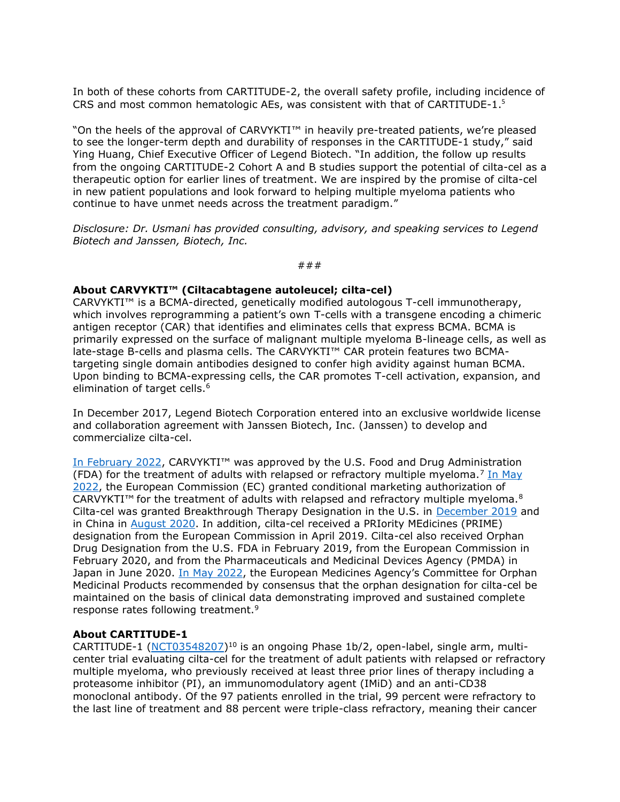In both of these cohorts from CARTITUDE-2, the overall safety profile, including incidence of CRS and most common hematologic AEs, was consistent with that of CARTITUDE-1[.](#page-1-1) 5

"On the heels of the approval of CARVYKTI™ in heavily pre-treated patients, we're pleased to see the longer-term depth and durability of responses in the CARTITUDE-1 study," said Ying Huang, Chief Executive Officer of Legend Biotech. "In addition, the follow up results from the ongoing CARTITUDE-2 Cohort A and B studies support the potential of cilta-cel as a therapeutic option for earlier lines of treatment. We are inspired by the promise of cilta-cel in new patient populations and look forward to helping multiple myeloma patients who continue to have unmet needs across the treatment paradigm."

*Disclosure: Dr. Usmani has provided consulting, advisory, and speaking services to Legend Biotech and Janssen, Biotech, Inc.*

###

## **About CARVYKTI™ (Ciltacabtagene autoleucel; cilta-cel)**

CARVYKTI™ is a BCMA-directed, genetically modified autologous T-cell immunotherapy, which involves reprogramming a patient's own T-cells with a transgene encoding a chimeric antigen receptor (CAR) that identifies and eliminates cells that express BCMA. BCMA is primarily expressed on the surface of malignant multiple myeloma B-lineage cells, as well as late-stage B-cells and plasma cells. The CARVYKTI™ CAR protein features two BCMAtargeting single domain antibodies designed to confer high avidity against human BCMA. Upon binding to BCMA-expressing cells, the CAR promotes T-cell activation, expansion, and elimination of target cells.<sup>6</sup>

In December 2017, Legend Biotech Corporation entered into an exclusive worldwide license and collaboration agreement with Janssen Biotech, Inc. (Janssen) to develop and commercialize cilta-cel.

[In February 2022](https://legendbiotech.com/wp-content/uploads/2022/02/CARVYKTI%E2%84%A2-ciltacabtagene-autoleucel-BCMA-Directed-CAR-T-Therapy-Receives-U.S.-FDA-Approval-2.pdf), CARVYKTI™ was approved by the U.S. Food and Drug Administration (FDA) for the treatment of adults with relapsed or refractory multiple myeloma.<sup>7</sup> [In May](https://legendbiotech.com/wp-content/uploads/2022/05/CARVYKTI%C2%AE-ciltacabtagene-autoleucel-Granted-Conditional-Approval-by-the-European-Commission.pdf) [2022,](https://legendbiotech.com/wp-content/uploads/2022/05/CARVYKTI%C2%AE-ciltacabtagene-autoleucel-Granted-Conditional-Approval-by-the-European-Commission.pdf) the European Commission (EC) granted conditional marketing authorization of CARVYKTI™ for the treatment of adults with relapsed and refractory multiple myeloma. $8$ Cilta-cel was granted Breakthrough Therapy Designation in the U.S. in [December 2019](https://legendbiotech.com/wp-content/uploads/2021/05/JNJ4528_Breakthrough_Therapy_Designation_Release.pdf) and in China in [August 2020.](https://legendbiotech.com/wp-content/uploads/2021/05/LEGN_PR_08052020.pdf) In addition, cilta-cel received a PRIority MEdicines (PRIME) designation from the European Commission in April 2019. Cilta-cel also received Orphan Drug Designation from the U.S. FDA in February 2019, from the European Commission in February 2020, and from the Pharmaceuticals and Medicinal Devices Agency (PMDA) in Japan in June 2020. [In May 2022](https://legendbiotech.com/wp-content/uploads/2022/03/CARVYKTI%C2%AE-ciltacabtagene-autoleucel-Receives-Positive-CHMP-Opinion.pdf), the European Medicines Agency's Committee for Orphan Medicinal Products recommended by consensus that the orphan designation for cilta-cel be maintained on the basis of clinical data demonstrating improved and sustained complete response rates following treatment.<sup>9</sup>

### **About CARTITUDE-1**

CARTITUDE-1 [\(NCT03548207\)](https://clinicaltrials.gov/ct2/show/NCT03548207)<sup>10</sup> is an ongoing Phase 1b/2, open-label, single arm, multicenter trial evaluating cilta-cel for the treatment of adult patients with relapsed or refractory multiple myeloma, who previously received at least three prior lines of therapy including a proteasome inhibitor (PI), an immunomodulatory agent (IMiD) and an anti-CD38 monoclonal antibody. Of the 97 patients enrolled in the trial, 99 percent were refractory to the last line of treatment and 88 percent were triple-class refractory, meaning their cancer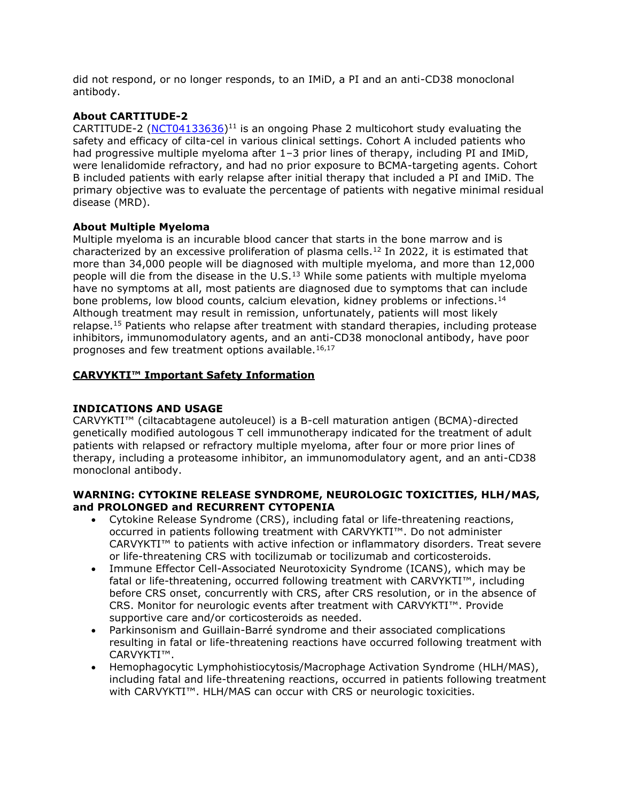did not respond, or no longer responds, to an IMiD, a PI and an anti-CD38 monoclonal antibody.

# **About CARTITUDE-2**

CARTITUDE-2 [\(NCT04133636\)](https://clinicaltrials.gov/ct2/show/NCT04133636)<sup>11</sup> is an ongoing Phase 2 multicohort study evaluating the safety and efficacy of cilta-cel in various clinical settings. Cohort A included patients who had progressive multiple myeloma after 1-3 prior lines of therapy, including PI and IMiD, were lenalidomide refractory, and had no prior exposure to BCMA-targeting agents. Cohort B included patients with early relapse after initial therapy that included a PI and IMiD. The primary objective was to evaluate the percentage of patients with negative minimal residual disease (MRD).

## **About Multiple Myeloma**

Multiple myeloma is an incurable blood cancer that starts in the bone marrow and is characterized by an excessive proliferation of plasma cells.<sup>12</sup> In 2022, it is estimated that more than 34,000 people will be diagnosed with multiple myeloma, and more than 12,000 people will die from the disease in the U.S.<sup>13</sup> While some patients with multiple myeloma have no symptoms at all, most patients are diagnosed due to symptoms that can include bone problems, low blood counts, calcium elevation, kidney problems or infections.<sup>14</sup> Although treatment may result in remission, unfortunately, patients will most likely relapse.<sup>15</sup> Patients who relapse after treatment with standard therapies, including protease inhibitors, immunomodulatory agents, and an anti-CD38 monoclonal antibody, have poor prognoses and few treatment options available.16,17

# **CARVYKTI™ Important Safety Information**

# **INDICATIONS AND USAGE**

CARVYKTI™ (ciltacabtagene autoleucel) is a B-cell maturation antigen (BCMA)-directed genetically modified autologous T cell immunotherapy indicated for the treatment of adult patients with relapsed or refractory multiple myeloma, after four or more prior lines of therapy, including a proteasome inhibitor, an immunomodulatory agent, and an anti-CD38 monoclonal antibody.

## **WARNING: CYTOKINE RELEASE SYNDROME, NEUROLOGIC TOXICITIES, HLH/MAS, and PROLONGED and RECURRENT CYTOPENIA**

- Cytokine Release Syndrome (CRS), including fatal or life-threatening reactions, occurred in patients following treatment with CARVYKTI™. Do not administer CARVYKTI™ to patients with active infection or inflammatory disorders. Treat severe or life-threatening CRS with tocilizumab or tocilizumab and corticosteroids.
- Immune Effector Cell-Associated Neurotoxicity Syndrome (ICANS), which may be fatal or life-threatening, occurred following treatment with CARVYKTI™, including before CRS onset, concurrently with CRS, after CRS resolution, or in the absence of CRS. Monitor for neurologic events after treatment with CARVYKTI™. Provide supportive care and/or corticosteroids as needed.
- Parkinsonism and Guillain-Barré syndrome and their associated complications resulting in fatal or life-threatening reactions have occurred following treatment with CARVYKTI™.
- Hemophagocytic Lymphohistiocytosis/Macrophage Activation Syndrome (HLH/MAS), including fatal and life-threatening reactions, occurred in patients following treatment with CARVYKTI™. HLH/MAS can occur with CRS or neurologic toxicities.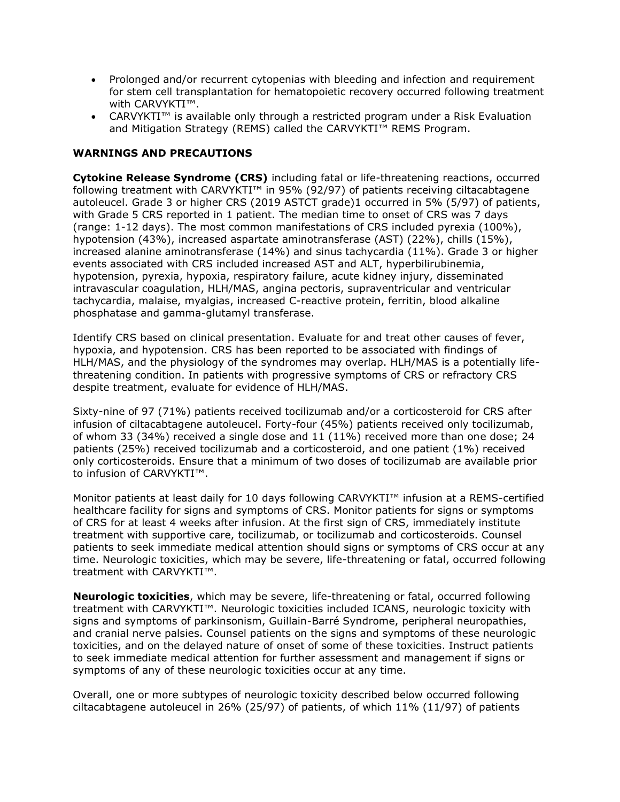- Prolonged and/or recurrent cytopenias with bleeding and infection and requirement for stem cell transplantation for hematopoietic recovery occurred following treatment with CARVYKTI™.
- CARVYKTI™ is available only through a restricted program under a Risk Evaluation and Mitigation Strategy (REMS) called the CARVYKTI™ REMS Program.

# **WARNINGS AND PRECAUTIONS**

**Cytokine Release Syndrome (CRS)** including fatal or life-threatening reactions, occurred following treatment with CARVYKTI™ in 95% (92/97) of patients receiving ciltacabtagene autoleucel. Grade 3 or higher CRS (2019 ASTCT grade)1 occurred in 5% (5/97) of patients, with Grade 5 CRS reported in 1 patient. The median time to onset of CRS was 7 days (range: 1-12 days). The most common manifestations of CRS included pyrexia (100%), hypotension (43%), increased aspartate aminotransferase (AST) (22%), chills (15%), increased alanine aminotransferase (14%) and sinus tachycardia (11%). Grade 3 or higher events associated with CRS included increased AST and ALT, hyperbilirubinemia, hypotension, pyrexia, hypoxia, respiratory failure, acute kidney injury, disseminated intravascular coagulation, HLH/MAS, angina pectoris, supraventricular and ventricular tachycardia, malaise, myalgias, increased C-reactive protein, ferritin, blood alkaline phosphatase and gamma-glutamyl transferase.

Identify CRS based on clinical presentation. Evaluate for and treat other causes of fever, hypoxia, and hypotension. CRS has been reported to be associated with findings of HLH/MAS, and the physiology of the syndromes may overlap. HLH/MAS is a potentially lifethreatening condition. In patients with progressive symptoms of CRS or refractory CRS despite treatment, evaluate for evidence of HLH/MAS.

Sixty-nine of 97 (71%) patients received tocilizumab and/or a corticosteroid for CRS after infusion of ciltacabtagene autoleucel. Forty-four (45%) patients received only tocilizumab, of whom 33 (34%) received a single dose and 11 (11%) received more than one dose; 24 patients (25%) received tocilizumab and a corticosteroid, and one patient (1%) received only corticosteroids. Ensure that a minimum of two doses of tocilizumab are available prior to infusion of CARVYKTI™.

Monitor patients at least daily for 10 days following CARVYKTI™ infusion at a REMS-certified healthcare facility for signs and symptoms of CRS. Monitor patients for signs or symptoms of CRS for at least 4 weeks after infusion. At the first sign of CRS, immediately institute treatment with supportive care, tocilizumab, or tocilizumab and corticosteroids. Counsel patients to seek immediate medical attention should signs or symptoms of CRS occur at any time. Neurologic toxicities, which may be severe, life-threatening or fatal, occurred following treatment with CARVYKTI™.

**Neurologic toxicities**, which may be severe, life-threatening or fatal, occurred following treatment with CARVYKTI™. Neurologic toxicities included ICANS, neurologic toxicity with signs and symptoms of parkinsonism, Guillain-Barré Syndrome, peripheral neuropathies, and cranial nerve palsies. Counsel patients on the signs and symptoms of these neurologic toxicities, and on the delayed nature of onset of some of these toxicities. Instruct patients to seek immediate medical attention for further assessment and management if signs or symptoms of any of these neurologic toxicities occur at any time.

Overall, one or more subtypes of neurologic toxicity described below occurred following ciltacabtagene autoleucel in 26% (25/97) of patients, of which 11% (11/97) of patients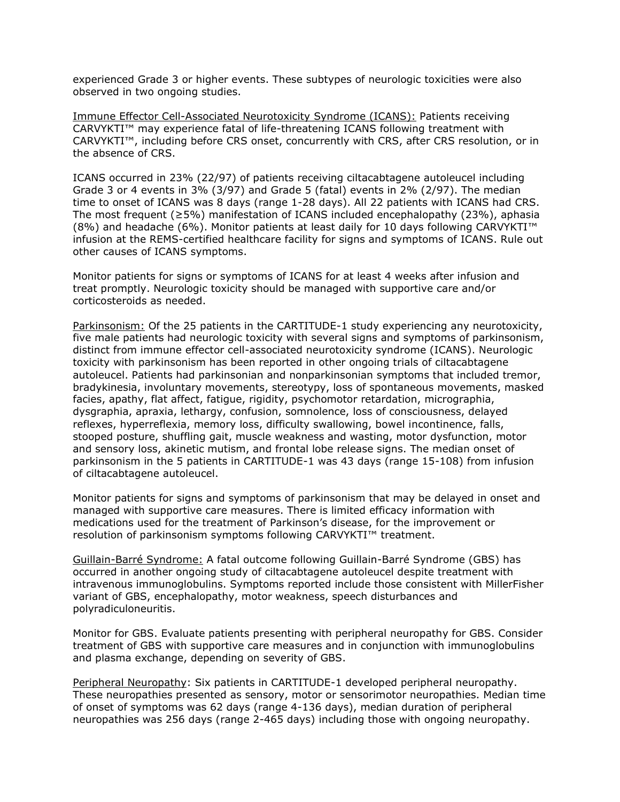experienced Grade 3 or higher events. These subtypes of neurologic toxicities were also observed in two ongoing studies.

Immune Effector Cell-Associated Neurotoxicity Syndrome (ICANS): Patients receiving CARVYKTI™ may experience fatal of life-threatening ICANS following treatment with CARVYKTI™, including before CRS onset, concurrently with CRS, after CRS resolution, or in the absence of CRS.

ICANS occurred in 23% (22/97) of patients receiving ciltacabtagene autoleucel including Grade 3 or 4 events in 3% (3/97) and Grade 5 (fatal) events in 2% (2/97). The median time to onset of ICANS was 8 days (range 1-28 days). All 22 patients with ICANS had CRS. The most frequent (≥5%) manifestation of ICANS included encephalopathy (23%), aphasia (8%) and headache (6%). Monitor patients at least daily for 10 days following CARVYKTI™ infusion at the REMS-certified healthcare facility for signs and symptoms of ICANS. Rule out other causes of ICANS symptoms.

Monitor patients for signs or symptoms of ICANS for at least 4 weeks after infusion and treat promptly. Neurologic toxicity should be managed with supportive care and/or corticosteroids as needed.

Parkinsonism: Of the 25 patients in the CARTITUDE-1 study experiencing any neurotoxicity, five male patients had neurologic toxicity with several signs and symptoms of parkinsonism, distinct from immune effector cell-associated neurotoxicity syndrome (ICANS). Neurologic toxicity with parkinsonism has been reported in other ongoing trials of ciltacabtagene autoleucel. Patients had parkinsonian and nonparkinsonian symptoms that included tremor, bradykinesia, involuntary movements, stereotypy, loss of spontaneous movements, masked facies, apathy, flat affect, fatigue, rigidity, psychomotor retardation, micrographia, dysgraphia, apraxia, lethargy, confusion, somnolence, loss of consciousness, delayed reflexes, hyperreflexia, memory loss, difficulty swallowing, bowel incontinence, falls, stooped posture, shuffling gait, muscle weakness and wasting, motor dysfunction, motor and sensory loss, akinetic mutism, and frontal lobe release signs. The median onset of parkinsonism in the 5 patients in CARTITUDE-1 was 43 days (range 15-108) from infusion of ciltacabtagene autoleucel.

Monitor patients for signs and symptoms of parkinsonism that may be delayed in onset and managed with supportive care measures. There is limited efficacy information with medications used for the treatment of Parkinson's disease, for the improvement or resolution of parkinsonism symptoms following CARVYKTI™ treatment.

Guillain-Barré Syndrome: A fatal outcome following Guillain-Barré Syndrome (GBS) has occurred in another ongoing study of ciltacabtagene autoleucel despite treatment with intravenous immunoglobulins. Symptoms reported include those consistent with MillerFisher variant of GBS, encephalopathy, motor weakness, speech disturbances and polyradiculoneuritis.

Monitor for GBS. Evaluate patients presenting with peripheral neuropathy for GBS. Consider treatment of GBS with supportive care measures and in conjunction with immunoglobulins and plasma exchange, depending on severity of GBS.

Peripheral Neuropathy: Six patients in CARTITUDE-1 developed peripheral neuropathy. These neuropathies presented as sensory, motor or sensorimotor neuropathies. Median time of onset of symptoms was 62 days (range 4-136 days), median duration of peripheral neuropathies was 256 days (range 2-465 days) including those with ongoing neuropathy.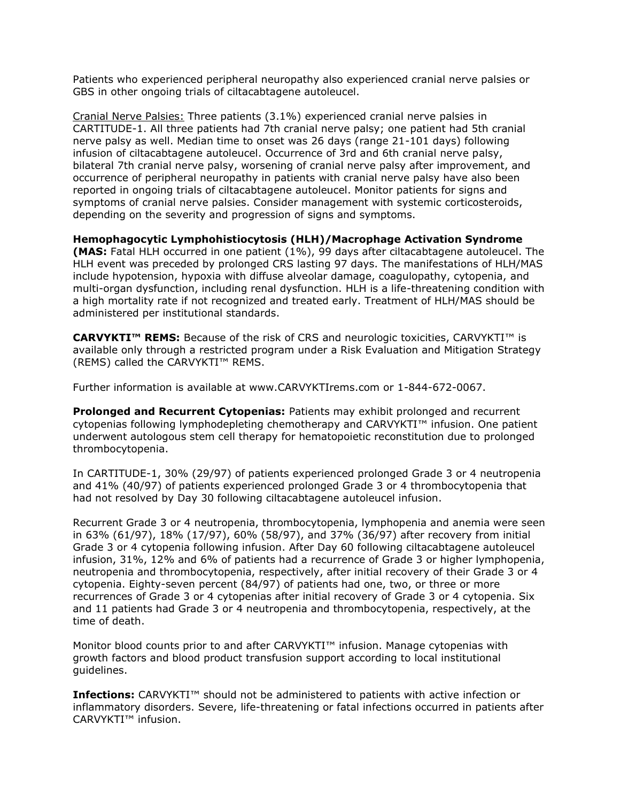Patients who experienced peripheral neuropathy also experienced cranial nerve palsies or GBS in other ongoing trials of ciltacabtagene autoleucel.

Cranial Nerve Palsies: Three patients (3.1%) experienced cranial nerve palsies in CARTITUDE-1. All three patients had 7th cranial nerve palsy; one patient had 5th cranial nerve palsy as well. Median time to onset was 26 days (range 21-101 days) following infusion of ciltacabtagene autoleucel. Occurrence of 3rd and 6th cranial nerve palsy, bilateral 7th cranial nerve palsy, worsening of cranial nerve palsy after improvement, and occurrence of peripheral neuropathy in patients with cranial nerve palsy have also been reported in ongoing trials of ciltacabtagene autoleucel. Monitor patients for signs and symptoms of cranial nerve palsies. Consider management with systemic corticosteroids, depending on the severity and progression of signs and symptoms.

**Hemophagocytic Lymphohistiocytosis (HLH)/Macrophage Activation Syndrome (MAS:** Fatal HLH occurred in one patient (1%), 99 days after ciltacabtagene autoleucel. The HLH event was preceded by prolonged CRS lasting 97 days. The manifestations of HLH/MAS include hypotension, hypoxia with diffuse alveolar damage, coagulopathy, cytopenia, and multi-organ dysfunction, including renal dysfunction. HLH is a life-threatening condition with a high mortality rate if not recognized and treated early. Treatment of HLH/MAS should be administered per institutional standards.

**CARVYKTI™ REMS:** Because of the risk of CRS and neurologic toxicities, CARVYKTI™ is available only through a restricted program under a Risk Evaluation and Mitigation Strategy (REMS) called the CARVYKTI™ REMS.

Further information is available at www.CARVYKTIrems.com or 1-844-672-0067.

**Prolonged and Recurrent Cytopenias:** Patients may exhibit prolonged and recurrent cytopenias following lymphodepleting chemotherapy and CARVYKTI™ infusion. One patient underwent autologous stem cell therapy for hematopoietic reconstitution due to prolonged thrombocytopenia.

In CARTITUDE-1, 30% (29/97) of patients experienced prolonged Grade 3 or 4 neutropenia and 41% (40/97) of patients experienced prolonged Grade 3 or 4 thrombocytopenia that had not resolved by Day 30 following ciltacabtagene autoleucel infusion.

Recurrent Grade 3 or 4 neutropenia, thrombocytopenia, lymphopenia and anemia were seen in 63% (61/97), 18% (17/97), 60% (58/97), and 37% (36/97) after recovery from initial Grade 3 or 4 cytopenia following infusion. After Day 60 following ciltacabtagene autoleucel infusion, 31%, 12% and 6% of patients had a recurrence of Grade 3 or higher lymphopenia, neutropenia and thrombocytopenia, respectively, after initial recovery of their Grade 3 or 4 cytopenia. Eighty-seven percent (84/97) of patients had one, two, or three or more recurrences of Grade 3 or 4 cytopenias after initial recovery of Grade 3 or 4 cytopenia. Six and 11 patients had Grade 3 or 4 neutropenia and thrombocytopenia, respectively, at the time of death.

Monitor blood counts prior to and after CARVYKTI<sup>™</sup> infusion. Manage cytopenias with growth factors and blood product transfusion support according to local institutional guidelines.

**Infections:** CARVYKTI™ should not be administered to patients with active infection or inflammatory disorders. Severe, life-threatening or fatal infections occurred in patients after CARVYKTI™ infusion.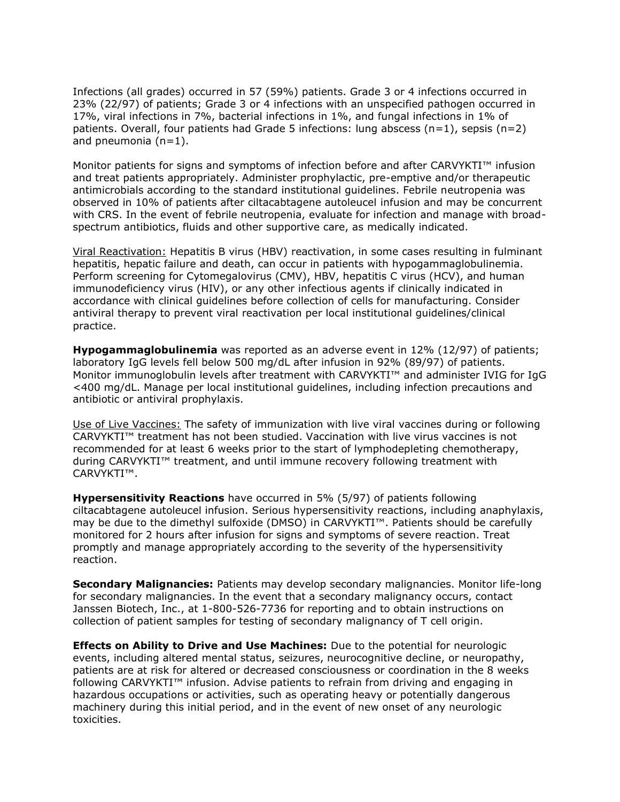Infections (all grades) occurred in 57 (59%) patients. Grade 3 or 4 infections occurred in 23% (22/97) of patients; Grade 3 or 4 infections with an unspecified pathogen occurred in 17%, viral infections in 7%, bacterial infections in 1%, and fungal infections in 1% of patients. Overall, four patients had Grade 5 infections: lung abscess  $(n=1)$ , sepsis  $(n=2)$ and pneumonia (n=1).

Monitor patients for signs and symptoms of infection before and after CARVYKTI™ infusion and treat patients appropriately. Administer prophylactic, pre-emptive and/or therapeutic antimicrobials according to the standard institutional guidelines. Febrile neutropenia was observed in 10% of patients after ciltacabtagene autoleucel infusion and may be concurrent with CRS. In the event of febrile neutropenia, evaluate for infection and manage with broadspectrum antibiotics, fluids and other supportive care, as medically indicated.

Viral Reactivation: Hepatitis B virus (HBV) reactivation, in some cases resulting in fulminant hepatitis, hepatic failure and death, can occur in patients with hypogammaglobulinemia. Perform screening for Cytomegalovirus (CMV), HBV, hepatitis C virus (HCV), and human immunodeficiency virus (HIV), or any other infectious agents if clinically indicated in accordance with clinical guidelines before collection of cells for manufacturing. Consider antiviral therapy to prevent viral reactivation per local institutional guidelines/clinical practice.

**Hypogammaglobulinemia** was reported as an adverse event in 12% (12/97) of patients; laboratory IgG levels fell below 500 mg/dL after infusion in 92% (89/97) of patients. Monitor immunoglobulin levels after treatment with CARVYKTI™ and administer IVIG for IgG <400 mg/dL. Manage per local institutional guidelines, including infection precautions and antibiotic or antiviral prophylaxis.

Use of Live Vaccines: The safety of immunization with live viral vaccines during or following CARVYKTI™ treatment has not been studied. Vaccination with live virus vaccines is not recommended for at least 6 weeks prior to the start of lymphodepleting chemotherapy, during CARVYKTI™ treatment, and until immune recovery following treatment with CARVYKTI™.

**Hypersensitivity Reactions** have occurred in 5% (5/97) of patients following ciltacabtagene autoleucel infusion. Serious hypersensitivity reactions, including anaphylaxis, may be due to the dimethyl sulfoxide (DMSO) in CARVYKTI™. Patients should be carefully monitored for 2 hours after infusion for signs and symptoms of severe reaction. Treat promptly and manage appropriately according to the severity of the hypersensitivity reaction.

**Secondary Malignancies:** Patients may develop secondary malignancies. Monitor life-long for secondary malignancies. In the event that a secondary malignancy occurs, contact Janssen Biotech, Inc., at 1-800-526-7736 for reporting and to obtain instructions on collection of patient samples for testing of secondary malignancy of T cell origin.

**Effects on Ability to Drive and Use Machines:** Due to the potential for neurologic events, including altered mental status, seizures, neurocognitive decline, or neuropathy, patients are at risk for altered or decreased consciousness or coordination in the 8 weeks following CARVYKTI™ infusion. Advise patients to refrain from driving and engaging in hazardous occupations or activities, such as operating heavy or potentially dangerous machinery during this initial period, and in the event of new onset of any neurologic toxicities.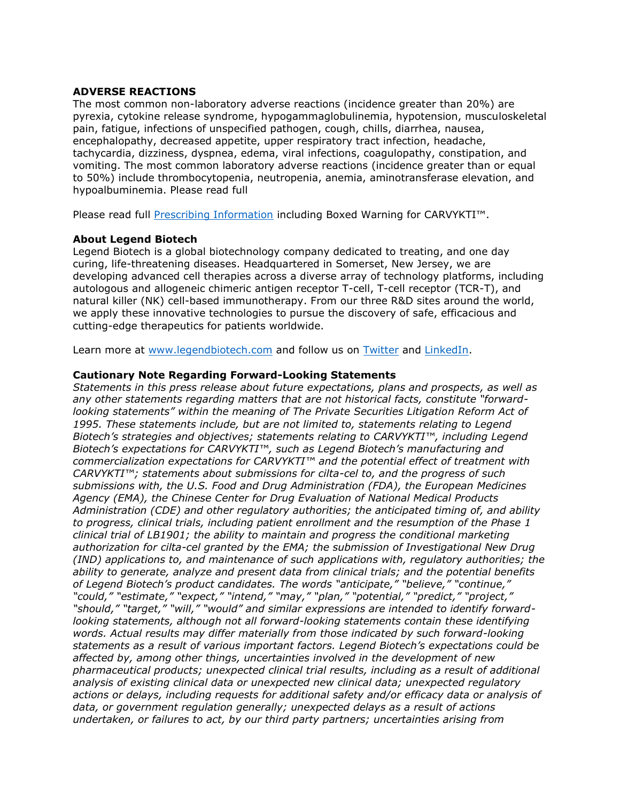### **ADVERSE REACTIONS**

The most common non-laboratory adverse reactions (incidence greater than 20%) are pyrexia, cytokine release syndrome, hypogammaglobulinemia, hypotension, musculoskeletal pain, fatigue, infections of unspecified pathogen, cough, chills, diarrhea, nausea, encephalopathy, decreased appetite, upper respiratory tract infection, headache, tachycardia, dizziness, dyspnea, edema, viral infections, coagulopathy, constipation, and vomiting. The most common laboratory adverse reactions (incidence greater than or equal to 50%) include thrombocytopenia, neutropenia, anemia, aminotransferase elevation, and hypoalbuminemia. Please read full

Please read full [Prescribing Information](https://www.janssenlabels.com/package-insert/product-monograph/prescribing-information/CARVYKTI-pi.pdf) including Boxed Warning for CARVYKTI™.

### **About Legend Biotech**

Legend Biotech is a global biotechnology company dedicated to treating, and one day curing, life-threatening diseases. Headquartered in Somerset, New Jersey, we are developing advanced cell therapies across a diverse array of technology platforms, including autologous and allogeneic chimeric antigen receptor T-cell, T-cell receptor (TCR-T), and natural killer (NK) cell-based immunotherapy. From our three R&D sites around the world, we apply these innovative technologies to pursue the discovery of safe, efficacious and cutting-edge therapeutics for patients worldwide.

Learn more at [www.legendbiotech.com](https://apc01.safelinks.protection.outlook.com/?url=https%3A%2F%2Furldefense.com%2Fv3%2F__http%3A%2Fwww.legendbiotech.com%2F__%3B!!Dahw-A9d0CA!l_HBzc6uFFeUDuZZa9ZaL36SCN4RrVIMjWybRwXGmPMcCeXFMsUTZlHW7117Bv5v%24&data=04%7C01%7Ctina.carter%40legendbiotech.com%7C16a4efa927f340b07f5408d9730bde94%7Cd55ad7adbf234f2cb95e1164d77114c9%7C0%7C0%7C637667317543128330%7CUnknown%7CTWFpbGZsb3d8eyJWIjoiMC4wLjAwMDAiLCJQIjoiV2luMzIiLCJBTiI6Ik1haWwiLCJXVCI6Mn0%3D%7C2000&sdata=SGEIilDeN6oOC2e6jPKxF9s4UeP%2F7qYMPZCwABxs1GY%3D&reserved=0) and follow us on [Twitter](https://apc01.safelinks.protection.outlook.com/?url=https%3A%2F%2Furldefense.com%2Fv3%2F__https%3A%2Ftwitter.com%2Flegendbiotech%3Flang%3Den__%3B!!Dahw-A9d0CA!l_HBzc6uFFeUDuZZa9ZaL36SCN4RrVIMjWybRwXGmPMcCeXFMsUTZlHW7-CeoCbi%24&data=04%7C01%7Ctina.carter%40legendbiotech.com%7C16a4efa927f340b07f5408d9730bde94%7Cd55ad7adbf234f2cb95e1164d77114c9%7C0%7C0%7C637667317543138324%7CUnknown%7CTWFpbGZsb3d8eyJWIjoiMC4wLjAwMDAiLCJQIjoiV2luMzIiLCJBTiI6Ik1haWwiLCJXVCI6Mn0%3D%7C2000&sdata=G67YvZwhP%2FqpNT70jcxhfJtkRBbttuYxLr1GRRXONFY%3D&reserved=0) and [LinkedIn.](https://apc01.safelinks.protection.outlook.com/?url=https%3A%2F%2Furldefense.com%2Fv3%2F__https%3A%2Fwww.linkedin.com%2Fcompany%2Flegendbiotechco.%2F__%3B!!Dahw-A9d0CA!l_HBzc6uFFeUDuZZa9ZaL36SCN4RrVIMjWybRwXGmPMcCeXFMsUTZlHW7xWi5KQF%24&data=04%7C01%7Ctina.carter%40legendbiotech.com%7C16a4efa927f340b07f5408d9730bde94%7Cd55ad7adbf234f2cb95e1164d77114c9%7C0%7C0%7C637667317543138324%7CUnknown%7CTWFpbGZsb3d8eyJWIjoiMC4wLjAwMDAiLCJQIjoiV2luMzIiLCJBTiI6Ik1haWwiLCJXVCI6Mn0%3D%7C2000&sdata=rAaHW745AINa0fRJ5bSa9ANpUsQtVUxOPkh%2BsfS5lao%3D&reserved=0)

## **Cautionary Note Regarding Forward-Looking Statements**

*Statements in this press release about future expectations, plans and prospects, as well as any other statements regarding matters that are not historical facts, constitute "forwardlooking statements" within the meaning of The Private Securities Litigation Reform Act of 1995. These statements include, but are not limited to, statements relating to Legend Biotech's strategies and objectives; statements relating to CARVYKTI™, including Legend Biotech's expectations for CARVYKTI™, such as Legend Biotech's manufacturing and commercialization expectations for CARVYKTI™ and the potential effect of treatment with CARVYKTI™; statements about submissions for cilta-cel to, and the progress of such submissions with, the U.S. Food and Drug Administration (FDA), the European Medicines Agency (EMA), the Chinese Center for Drug Evaluation of National Medical Products Administration (CDE) and other regulatory authorities; the anticipated timing of, and ability to progress, clinical trials, including patient enrollment and the resumption of the Phase 1 clinical trial of LB1901; the ability to maintain and progress the conditional marketing authorization for cilta-cel granted by the EMA; the submission of Investigational New Drug (IND) applications to, and maintenance of such applications with, regulatory authorities; the ability to generate, analyze and present data from clinical trials; and the potential benefits of Legend Biotech's product candidates. The words "anticipate," "believe," "continue," "could," "estimate," "expect," "intend," "may," "plan," "potential," "predict," "project," "should," "target," "will," "would" and similar expressions are intended to identify forwardlooking statements, although not all forward-looking statements contain these identifying words. Actual results may differ materially from those indicated by such forward-looking statements as a result of various important factors. Legend Biotech's expectations could be affected by, among other things, uncertainties involved in the development of new pharmaceutical products; unexpected clinical trial results, including as a result of additional analysis of existing clinical data or unexpected new clinical data; unexpected regulatory actions or delays, including requests for additional safety and/or efficacy data or analysis of data, or government regulation generally; unexpected delays as a result of actions undertaken, or failures to act, by our third party partners; uncertainties arising from*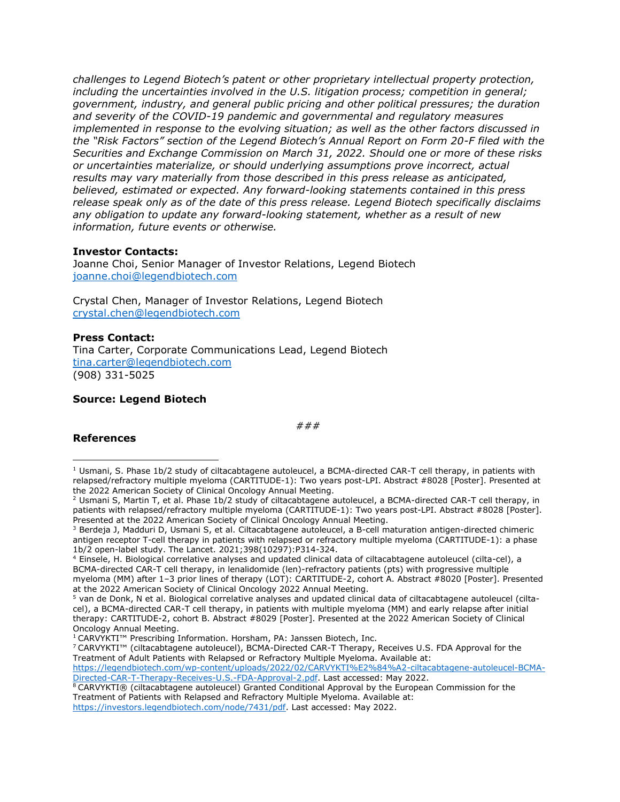*challenges to Legend Biotech's patent or other proprietary intellectual property protection, including the uncertainties involved in the U.S. litigation process; competition in general; government, industry, and general public pricing and other political pressures; the duration and severity of the COVID-19 pandemic and governmental and regulatory measures implemented in response to the evolving situation; as well as the other factors discussed in the "Risk Factors" section of the Legend Biotech's Annual Report on Form 20-F filed with the Securities and Exchange Commission on March 31, 2022. Should one or more of these risks or uncertainties materialize, or should underlying assumptions prove incorrect, actual results may vary materially from those described in this press release as anticipated, believed, estimated or expected. Any forward-looking statements contained in this press release speak only as of the date of this press release. Legend Biotech specifically disclaims any obligation to update any forward-looking statement, whether as a result of new information, future events or otherwise.*

#### **Investor Contacts:**

Joanne Choi, Senior Manager of Investor Relations, Legend Biotech [joanne.choi@legendbiotech.com](mailto:Joanne.choi@legendbiotech.com) 

Crystal Chen, Manager of Investor Relations, Legend Biotech [crystal.chen@legendbiotech.com](mailto:crystal.chen@legendbiotech.com) 

#### **Press Contact:**

Tina Carter, Corporate Communications Lead, Legend Biotech [tina.carter@legendbiotech.com](mailto:tina.carter@legendbiotech.com)  (908) 331-5025

### **Source: Legend Biotech**

*###*

#### **References**

 $1$  Usmani, S. Phase 1b/2 study of ciltacabtagene autoleucel, a BCMA-directed CAR-T cell therapy, in patients with relapsed/refractory multiple myeloma (CARTITUDE-1): Two years post-LPI. Abstract #8028 [Poster]. Presented at the 2022 American Society of Clinical Oncology Annual Meeting.

<sup>2</sup> Usmani S, Martin T, et al. Phase 1b/2 study of ciltacabtagene autoleucel, a BCMA-directed CAR-T cell therapy, in patients with relapsed/refractory multiple myeloma (CARTITUDE-1): Two years post-LPI. Abstract #8028 [Poster]. Presented at the 2022 American Society of Clinical Oncology Annual Meeting.

<sup>&</sup>lt;sup>3</sup> Berdeja J, Madduri D, Usmani S, et al. Ciltacabtagene autoleucel, a B-cell maturation antigen-directed chimeric antigen receptor T-cell therapy in patients with relapsed or refractory multiple myeloma (CARTITUDE-1): a phase 1b/2 open-label study. The Lancet. 2021;398(10297):P314-324.

<sup>4</sup> Einsele, H. Biological correlative analyses and updated clinical data of ciltacabtagene autoleucel (cilta-cel), a BCMA-directed CAR-T cell therapy, in lenalidomide (len)-refractory patients (pts) with progressive multiple myeloma (MM) after 1–3 prior lines of therapy (LOT): CARTITUDE-2, cohort A. Abstract #8020 [Poster]. Presented at the 2022 American Society of Clinical Oncology 2022 Annual Meeting.

<sup>5</sup> van de Donk, N et al. Biological correlative analyses and updated clinical data of ciltacabtagene autoleucel (ciltacel), a BCMA-directed CAR-T cell therapy, in patients with multiple myeloma (MM) and early relapse after initial therapy: CARTITUDE-2, cohort B. Abstract #8029 [Poster]. Presented at the 2022 American Society of Clinical Oncology Annual Meeting.

<sup>1</sup> CARVYKTI™ Prescribing Information. Horsham, PA: Janssen Biotech, Inc.

<sup>7</sup> CARVYKTI™ (ciltacabtagene autoleucel), BCMA-Directed CAR-T Therapy, Receives U.S. FDA Approval for the Treatment of Adult Patients with Relapsed or Refractory Multiple Myeloma. Available at:

[https://legendbiotech.com/wp-content/uploads/2022/02/CARVYKTI%E2%84%A2-ciltacabtagene-autoleucel-BCMA-](https://legendbiotech.com/wp-content/uploads/2022/02/CARVYKTI%E2%84%A2-ciltacabtagene-autoleucel-BCMA-Directed-CAR-T-Therapy-Receives-U.S.-FDA-Approval-2.pdf)[Directed-CAR-T-Therapy-Receives-U.S.-FDA-Approval-2.pdf.](https://legendbiotech.com/wp-content/uploads/2022/02/CARVYKTI%E2%84%A2-ciltacabtagene-autoleucel-BCMA-Directed-CAR-T-Therapy-Receives-U.S.-FDA-Approval-2.pdf) Last accessed: May 2022.

<sup>8</sup> CARVYKTI® (ciltacabtagene autoleucel) Granted Conditional Approval by the European Commission for the Treatment of Patients with Relapsed and Refractory Multiple Myeloma. Available at:

[https://investors.legendbiotech.com/node/7431/pdf.](https://investors.legendbiotech.com/node/7431/pdf) Last accessed: May 2022.